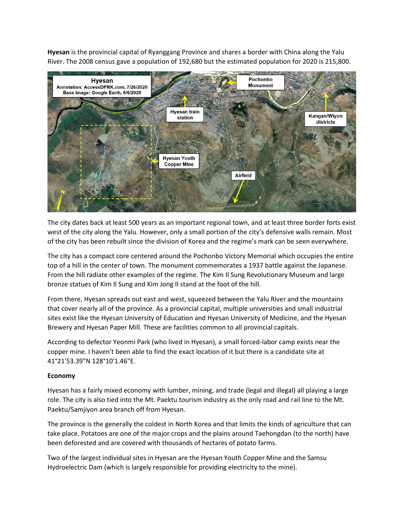**Hyesan** is the provincial capital of Ryanggang Province and shares a border with China along the Yalu River. The 2008 census gave a population of 192,680 but the estimated population for 2020 is 215,800.



The city dates back at least 500 years as an important regional town, and at least three border forts exist west of the city along the Yalu. However, only a small portion of the city's defensive walls remain. Most of the city has been rebuilt since the division of Korea and the regime's mark can be seen everywhere.

The city has a compact core centered around the Pochonbo Victory Memorial which occupies the entire top of a hill in the center of town. The monument commemorates a 1937 battle against the Japanese. From the hill radiate other examples of the regime. The Kim Il Sung Revolutionary Museum and large bronze statues of Kim Il Sung and Kim Jong Il stand at the foot of the hill.

From there, Hyesan spreads out east and west, squeezed between the Yalu River and the mountains that cover nearly all of the province. As a provincial capital, multiple universities and small industrial sites exist like the Hyesan University of Education and Hyesan University of Medicine, and the Hyesan Brewery and Hyesan Paper Mill. These are facilities common to all provincial capitals.

According to defector Yeonmi Park (who lived in Hyesan), a small forced-labor camp exists near the copper mine. I haven't been able to find the exact location of it but there is a candidate site at 41°21'53.39"N 128°10'1.46"E.

## **Economy**

Hyesan has a fairly mixed economy with lumber, mining, and trade (legal and illegal) all playing a large role. The city is also tied into the Mt. Paektu tourism industry as the only road and rail line to the Mt. Paektu/Samjiyon area branch off from Hyesan.

The province is the generally the coldest in North Korea and that limits the kinds of agriculture that can take place. Potatoes are one of the major crops and the plains around Taehongdan (to the north) have been deforested and are covered with thousands of hectares of potato farms.

Two of the largest individual sites in Hyesan are the Hyesan Youth Copper Mine and the Samsu Hydroelectric Dam (which is largely responsible for providing electricity to the mine).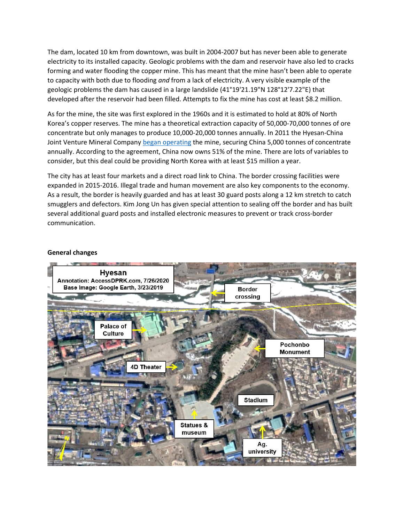The dam, located 10 km from downtown, was built in 2004-2007 but has never been able to generate electricity to its installed capacity. Geologic problems with the dam and reservoir have also led to cracks forming and water flooding the copper mine. This has meant that the mine hasn't been able to operate to capacity with both due to flooding *and* from a lack of electricity. A very visible example of the geologic problems the dam has caused in a large landslide (41°19'21.19"N 128°12'7.22"E) that developed after the reservoir had been filled. Attempts to fix the mine has cost at least \$8.2 million.

As for the mine, the site was first explored in the 1960s and it is estimated to hold at 80% of North Korea's copper reserves. The mine has a theoretical extraction capacity of 50,000-70,000 tonnes of ore concentrate but only manages to produce 10,000-20,000 tonnes annually. In 2011 the Hyesan-China Joint Venture Mineral Company [began operating](https://www.reuters.com/article/china-nkorea-copper-idAFL3E7KK0CZ20110920) the mine, securing China 5,000 tonnes of concentrate annually. According to the agreement, China now owns 51% of the mine. There are lots of variables to consider, but this deal could be providing North Korea with at least \$15 million a year.

The city has at least four markets and a direct road link to China. The border crossing facilities were expanded in 2015-2016. Illegal trade and human movement are also key components to the economy. As a result, the border is heavily guarded and has at least 30 guard posts along a 12 km stretch to catch smugglers and defectors. Kim Jong Un has given special attention to sealing off the border and has built several additional guard posts and installed electronic measures to prevent or track cross-border communication.

## **General changes**